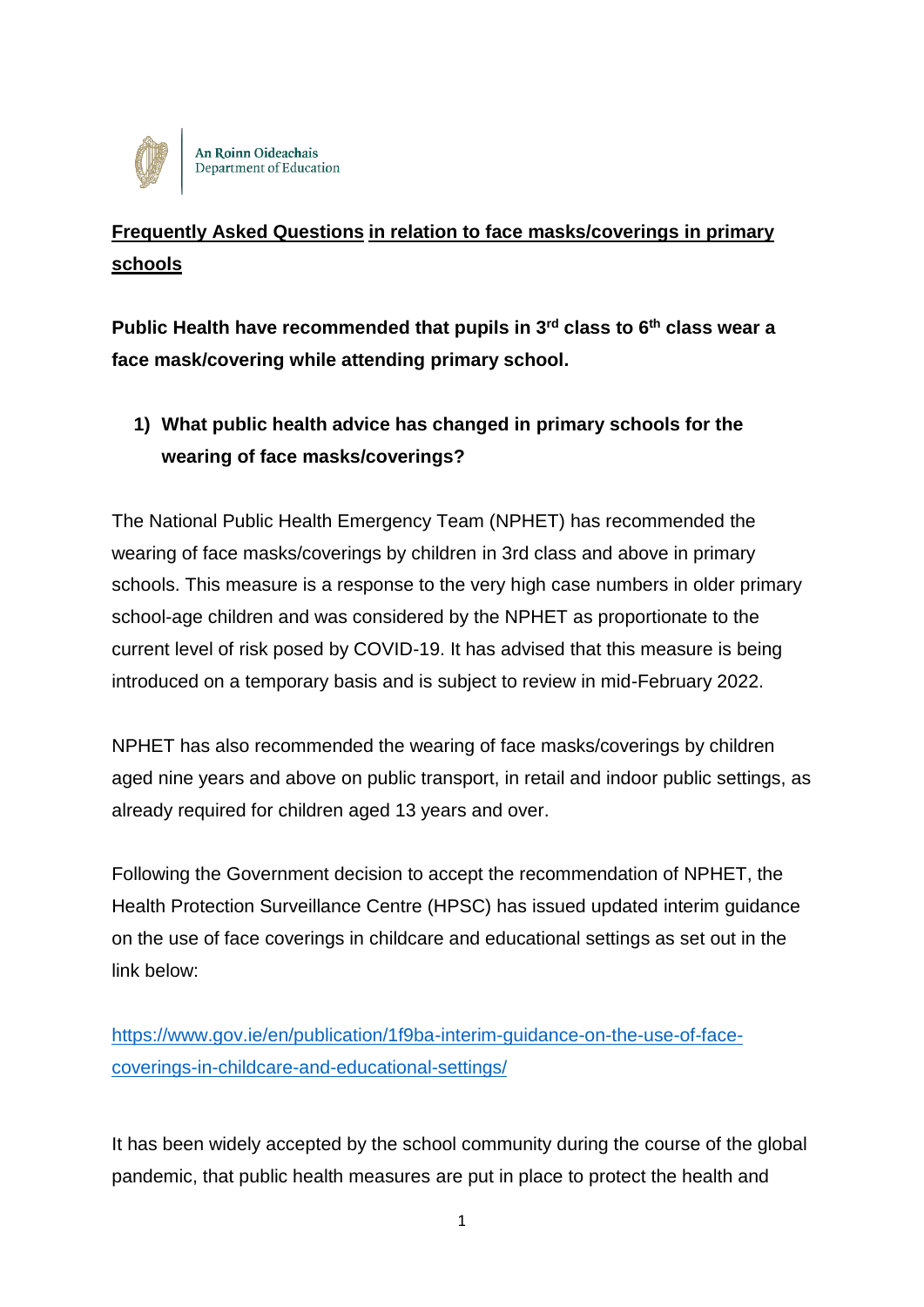

**An Roinn Oideachais** Department of Education

# **Frequently Asked Questions in relation to face masks/coverings in primary schools**

**Public Health have recommended that pupils in 3rd class to 6th class wear a face mask/covering while attending primary school.**

**1) What public health advice has changed in primary schools for the wearing of face masks/coverings?** 

The National Public Health Emergency Team (NPHET) has recommended the wearing of face masks/coverings by children in 3rd class and above in primary schools. This measure is a response to the very high case numbers in older primary school-age children and was considered by the NPHET as proportionate to the current level of risk posed by COVID-19. It has advised that this measure is being introduced on a temporary basis and is subject to review in mid-February 2022.

NPHET has also recommended the wearing of face masks/coverings by children aged nine years and above on public transport, in retail and indoor public settings, as already required for children aged 13 years and over.

Following the Government decision to accept the recommendation of NPHET, the Health Protection Surveillance Centre (HPSC) has issued updated interim guidance on the use of face coverings in childcare and educational settings as set out in the link below:

[https://www.gov.ie/en/publication/1f9ba-interim-guidance-on-the-use-of-face](https://www.gov.ie/en/publication/1f9ba-interim-guidance-on-the-use-of-face-coverings-in-childcare-and-educational-settings/)[coverings-in-childcare-and-educational-settings/](https://www.gov.ie/en/publication/1f9ba-interim-guidance-on-the-use-of-face-coverings-in-childcare-and-educational-settings/)

It has been widely accepted by the school community during the course of the global pandemic, that public health measures are put in place to protect the health and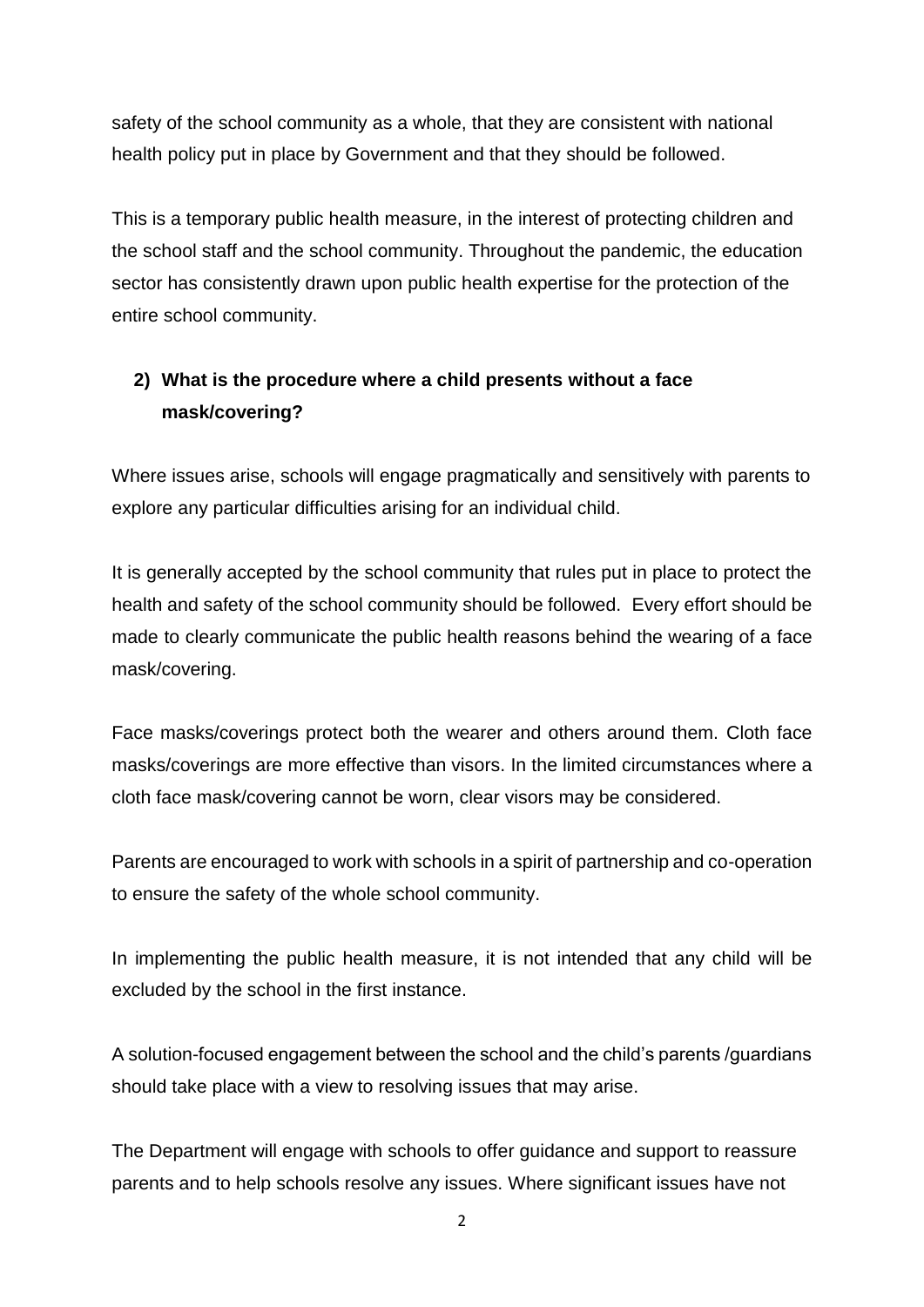safety of the school community as a whole, that they are consistent with national health policy put in place by Government and that they should be followed.

This is a temporary public health measure, in the interest of protecting children and the school staff and the school community. Throughout the pandemic, the education sector has consistently drawn upon public health expertise for the protection of the entire school community.

## **2) What is the procedure where a child presents without a face mask/covering?**

Where issues arise, schools will engage pragmatically and sensitively with parents to explore any particular difficulties arising for an individual child.

It is generally accepted by the school community that rules put in place to protect the health and safety of the school community should be followed. Every effort should be made to clearly communicate the public health reasons behind the wearing of a face mask/covering.

Face masks/coverings protect both the wearer and others around them. Cloth face masks/coverings are more effective than visors. In the limited circumstances where a cloth face mask/covering cannot be worn, clear visors may be considered.

Parents are encouraged to work with schools in a spirit of partnership and co-operation to ensure the safety of the whole school community.

In implementing the public health measure, it is not intended that any child will be excluded by the school in the first instance.

A solution-focused engagement between the school and the child's parents /guardians should take place with a view to resolving issues that may arise.

The Department will engage with schools to offer guidance and support to reassure parents and to help schools resolve any issues. Where significant issues have not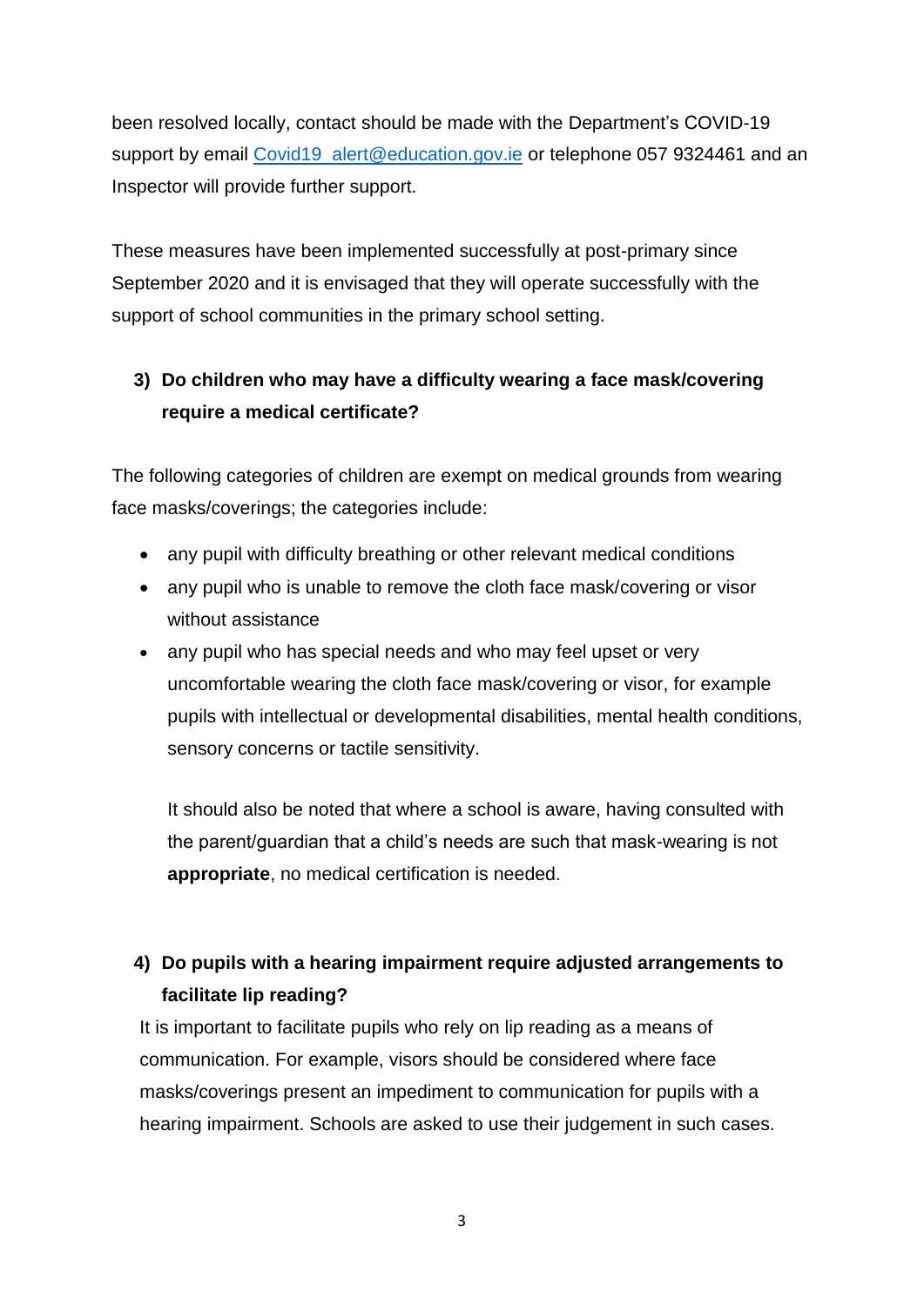been resolved locally, contact should be made with the Department's COVID-19 support by email Covid19 alert@education.gov.ie or telephone 057 9324461 and an Inspector will provide further support.

These measures have been implemented successfully at post-primary since September 2020 and it is envisaged that they will operate successfully with the support of school communities in the primary school setting.

# **3) Do children who may have a difficulty wearing a face mask/covering require a medical certificate?**

The following categories of children are exempt on medical grounds from wearing face masks/coverings; the categories include:

- any pupil with difficulty breathing or other relevant medical conditions
- any pupil who is unable to remove the cloth face mask/covering or visor without assistance
- any pupil who has special needs and who may feel upset or very uncomfortable wearing the cloth face mask/covering or visor, for example pupils with intellectual or developmental disabilities, mental health conditions, sensory concerns or tactile sensitivity.

It should also be noted that where a school is aware, having consulted with the parent/guardian that a child's needs are such that mask-wearing is not **appropriate**, no medical certification is needed.

# **4) Do pupils with a hearing impairment require adjusted arrangements to facilitate lip reading?**

It is important to facilitate pupils who rely on lip reading as a means of communication. For example, visors should be considered where face masks/coverings present an impediment to communication for pupils with a hearing impairment. Schools are asked to use their judgement in such cases.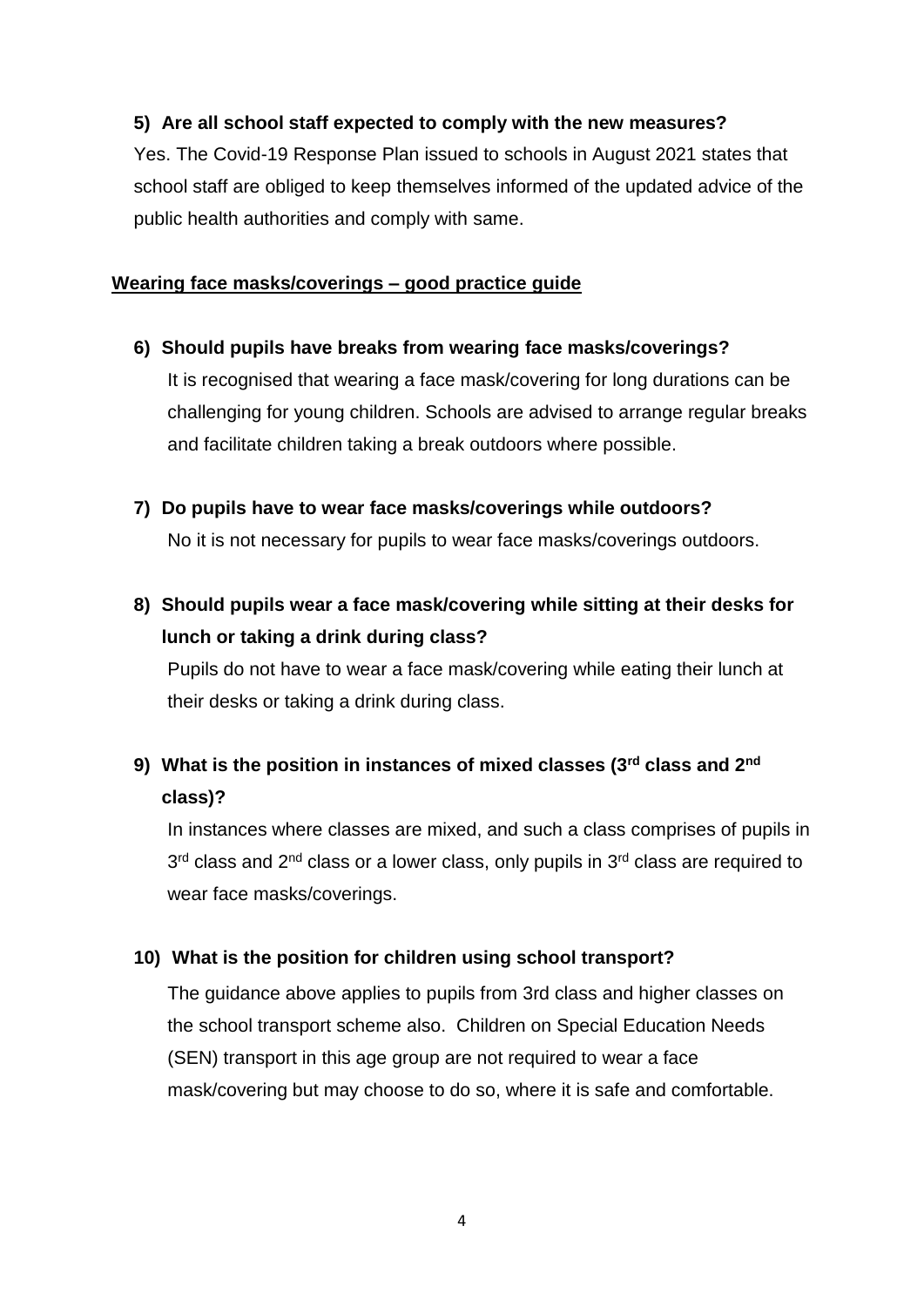### **5) Are all school staff expected to comply with the new measures?**

Yes. The Covid-19 Response Plan issued to schools in August 2021 states that school staff are obliged to keep themselves informed of the updated advice of the public health authorities and comply with same.

#### **Wearing face masks/coverings – good practice guide**

**6) Should pupils have breaks from wearing face masks/coverings?**

It is recognised that wearing a face mask/covering for long durations can be challenging for young children. Schools are advised to arrange regular breaks and facilitate children taking a break outdoors where possible.

**7) Do pupils have to wear face masks/coverings while outdoors?**

No it is not necessary for pupils to wear face masks/coverings outdoors.

**8) Should pupils wear a face mask/covering while sitting at their desks for lunch or taking a drink during class?**

Pupils do not have to wear a face mask/covering while eating their lunch at their desks or taking a drink during class.

# **9) What is the position in instances of mixed classes (3rd class and 2nd class)?**

In instances where classes are mixed, and such a class comprises of pupils in 3<sup>rd</sup> class and 2<sup>nd</sup> class or a lower class, only pupils in 3<sup>rd</sup> class are required to wear face masks/coverings.

#### **10) What is the position for children using school transport?**

The guidance above applies to pupils from 3rd class and higher classes on the school transport scheme also. Children on Special Education Needs (SEN) transport in this age group are not required to wear a face mask/covering but may choose to do so, where it is safe and comfortable.